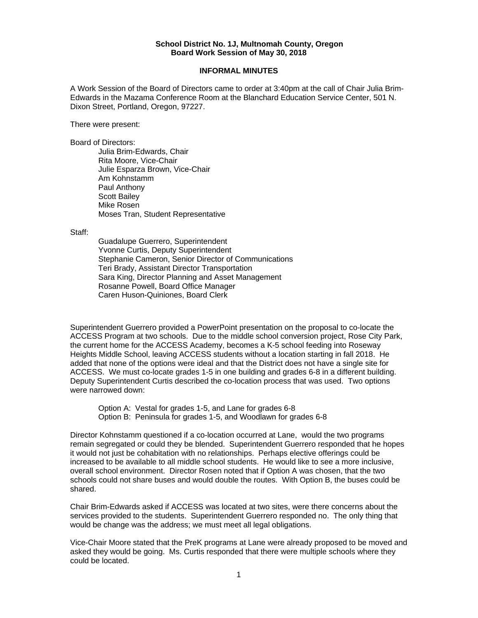## **School District No. 1J, Multnomah County, Oregon Board Work Session of May 30, 2018**

## **INFORMAL MINUTES**

A Work Session of the Board of Directors came to order at 3:40pm at the call of Chair Julia Brim-Edwards in the Mazama Conference Room at the Blanchard Education Service Center, 501 N. Dixon Street, Portland, Oregon, 97227.

There were present:

Board of Directors:

Julia Brim-Edwards, Chair Rita Moore, Vice-Chair Julie Esparza Brown, Vice-Chair Am Kohnstamm Paul Anthony Scott Bailey Mike Rosen Moses Tran, Student Representative

Staff:

 Guadalupe Guerrero, Superintendent Yvonne Curtis, Deputy Superintendent Stephanie Cameron, Senior Director of Communications Teri Brady, Assistant Director Transportation Sara King, Director Planning and Asset Management Rosanne Powell, Board Office Manager Caren Huson-Quiniones, Board Clerk

Superintendent Guerrero provided a PowerPoint presentation on the proposal to co-locate the ACCESS Program at two schools. Due to the middle school conversion project, Rose City Park, the current home for the ACCESS Academy, becomes a K-5 school feeding into Roseway Heights Middle School, leaving ACCESS students without a location starting in fall 2018. He added that none of the options were ideal and that the District does not have a single site for ACCESS. We must co-locate grades 1-5 in one building and grades 6-8 in a different building. Deputy Superintendent Curtis described the co-location process that was used. Two options were narrowed down:

Option A: Vestal for grades 1-5, and Lane for grades 6-8 Option B: Peninsula for grades 1-5, and Woodlawn for grades 6-8

Director Kohnstamm questioned if a co-location occurred at Lane, would the two programs remain segregated or could they be blended. Superintendent Guerrero responded that he hopes it would not just be cohabitation with no relationships. Perhaps elective offerings could be increased to be available to all middle school students. He would like to see a more inclusive, overall school environment. Director Rosen noted that if Option A was chosen, that the two schools could not share buses and would double the routes. With Option B, the buses could be shared.

Chair Brim-Edwards asked if ACCESS was located at two sites, were there concerns about the services provided to the students. Superintendent Guerrero responded no. The only thing that would be change was the address; we must meet all legal obligations.

Vice-Chair Moore stated that the PreK programs at Lane were already proposed to be moved and asked they would be going. Ms. Curtis responded that there were multiple schools where they could be located.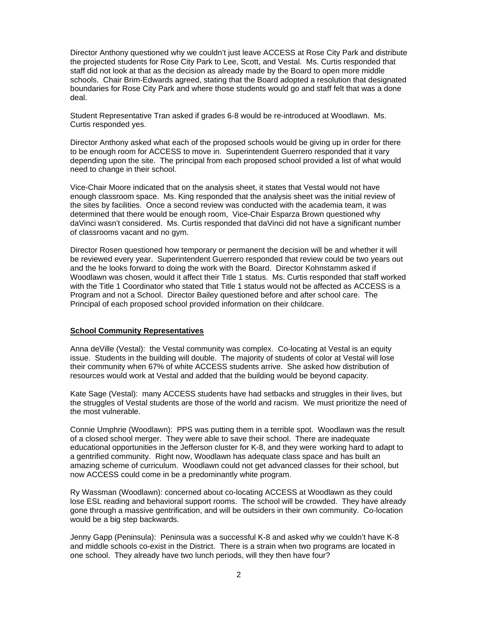Director Anthony questioned why we couldn't just leave ACCESS at Rose City Park and distribute the projected students for Rose City Park to Lee, Scott, and Vestal. Ms. Curtis responded that staff did not look at that as the decision as already made by the Board to open more middle schools. Chair Brim-Edwards agreed, stating that the Board adopted a resolution that designated boundaries for Rose City Park and where those students would go and staff felt that was a done deal.

Student Representative Tran asked if grades 6-8 would be re-introduced at Woodlawn. Ms. Curtis responded yes.

Director Anthony asked what each of the proposed schools would be giving up in order for there to be enough room for ACCESS to move in. Superintendent Guerrero responded that it vary depending upon the site. The principal from each proposed school provided a list of what would need to change in their school.

Vice-Chair Moore indicated that on the analysis sheet, it states that Vestal would not have enough classroom space. Ms. King responded that the analysis sheet was the initial review of the sites by facilities. Once a second review was conducted with the academia team, it was determined that there would be enough room, Vice-Chair Esparza Brown questioned why daVinci wasn't considered. Ms. Curtis responded that daVinci did not have a significant number of classrooms vacant and no gym.

Director Rosen questioned how temporary or permanent the decision will be and whether it will be reviewed every year. Superintendent Guerrero responded that review could be two years out and the he looks forward to doing the work with the Board. Director Kohnstamm asked if Woodlawn was chosen, would it affect their Title 1 status. Ms. Curtis responded that staff worked with the Title 1 Coordinator who stated that Title 1 status would not be affected as ACCESS is a Program and not a School. Director Bailey questioned before and after school care. The Principal of each proposed school provided information on their childcare.

## **School Community Representatives**

Anna deVille (Vestal): the Vestal community was complex. Co-locating at Vestal is an equity issue. Students in the building will double. The majority of students of color at Vestal will lose their community when 67% of white ACCESS students arrive. She asked how distribution of resources would work at Vestal and added that the building would be beyond capacity.

Kate Sage (Vestal): many ACCESS students have had setbacks and struggles in their lives, but the struggles of Vestal students are those of the world and racism. We must prioritize the need of the most vulnerable.

Connie Umphrie (Woodlawn): PPS was putting them in a terrible spot. Woodlawn was the result of a closed school merger. They were able to save their school. There are inadequate educational opportunities in the Jefferson cluster for K-8, and they were working hard to adapt to a gentrified community. Right now, Woodlawn has adequate class space and has built an amazing scheme of curriculum. Woodlawn could not get advanced classes for their school, but now ACCESS could come in be a predominantly white program.

Ry Wassman (Woodlawn): concerned about co-locating ACCESS at Woodlawn as they could lose ESL reading and behavioral support rooms. The school will be crowded. They have already gone through a massive gentrification, and will be outsiders in their own community. Co-location would be a big step backwards.

Jenny Gapp (Peninsula): Peninsula was a successful K-8 and asked why we couldn't have K-8 and middle schools co-exist in the District. There is a strain when two programs are located in one school. They already have two lunch periods, will they then have four?